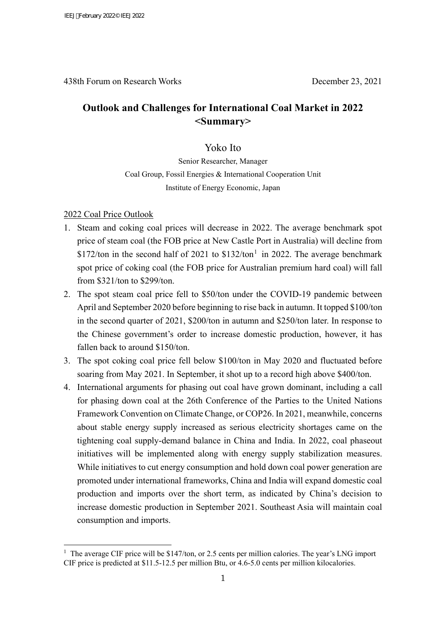438th Forum on Research Works December 23, 2021

# **Outlook and Challenges for International Coal Market in 2022 <Summary>**

# Yoko Ito

Senior Researcher, Manager Coal Group, Fossil Energies & International Cooperation Unit Institute of Energy Economic, Japan

## 2022 Coal Price Outlook

- 1. Steam and coking coal prices will decrease in 2022. The average benchmark spot price of steam coal (the FOB price at New Castle Port in Australia) will decline from \$[1](#page-0-0)72/ton in the second half of 2021 to  $$132/ton<sup>1</sup>$  in 2022. The average benchmark spot price of coking coal (the FOB price for Australian premium hard coal) will fall from \$321/ton to \$299/ton.
- 2. The spot steam coal price fell to \$50/ton under the COVID-19 pandemic between April and September 2020 before beginning to rise back in autumn. It topped \$100/ton in the second quarter of 2021, \$200/ton in autumn and \$250/ton later. In response to the Chinese government's order to increase domestic production, however, it has fallen back to around \$150/ton.
- 3. The spot coking coal price fell below \$100/ton in May 2020 and fluctuated before soaring from May 2021. In September, it shot up to a record high above \$400/ton.
- 4. International arguments for phasing out coal have grown dominant, including a call for phasing down coal at the 26th Conference of the Parties to the United Nations Framework Convention on Climate Change, or COP26. In 2021, meanwhile, concerns about stable energy supply increased as serious electricity shortages came on the tightening coal supply-demand balance in China and India. In 2022, coal phaseout initiatives will be implemented along with energy supply stabilization measures. While initiatives to cut energy consumption and hold down coal power generation are promoted under international frameworks, China and India will expand domestic coal production and imports over the short term, as indicated by China's decision to increase domestic production in September 2021. Southeast Asia will maintain coal consumption and imports.

<span id="page-0-0"></span><sup>&</sup>lt;sup>1</sup> The average CIF price will be \$147/ton, or 2.5 cents per million calories. The year's LNG import CIF price is predicted at \$11.5-12.5 per million Btu, or 4.6-5.0 cents per million kilocalories.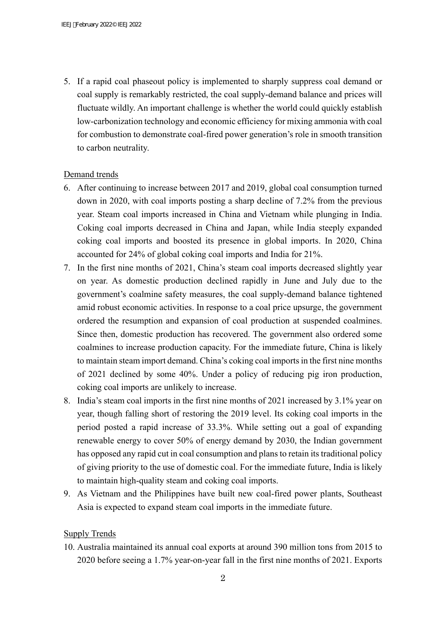5. If a rapid coal phaseout policy is implemented to sharply suppress coal demand or coal supply is remarkably restricted, the coal supply-demand balance and prices will fluctuate wildly. An important challenge is whether the world could quickly establish low-carbonization technology and economic efficiency for mixing ammonia with coal for combustion to demonstrate coal-fired power generation's role in smooth transition to carbon neutrality.

#### Demand trends

- 6. After continuing to increase between 2017 and 2019, global coal consumption turned down in 2020, with coal imports posting a sharp decline of 7.2% from the previous year. Steam coal imports increased in China and Vietnam while plunging in India. Coking coal imports decreased in China and Japan, while India steeply expanded coking coal imports and boosted its presence in global imports. In 2020, China accounted for 24% of global coking coal imports and India for 21%.
- 7. In the first nine months of 2021, China's steam coal imports decreased slightly year on year. As domestic production declined rapidly in June and July due to the government's coalmine safety measures, the coal supply-demand balance tightened amid robust economic activities. In response to a coal price upsurge, the government ordered the resumption and expansion of coal production at suspended coalmines. Since then, domestic production has recovered. The government also ordered some coalmines to increase production capacity. For the immediate future, China is likely to maintain steam import demand. China's coking coal imports in the first nine months of 2021 declined by some 40%. Under a policy of reducing pig iron production, coking coal imports are unlikely to increase.
- 8. India's steam coal imports in the first nine months of 2021 increased by 3.1% year on year, though falling short of restoring the 2019 level. Its coking coal imports in the period posted a rapid increase of 33.3%. While setting out a goal of expanding renewable energy to cover 50% of energy demand by 2030, the Indian government has opposed any rapid cut in coal consumption and plans to retain its traditional policy of giving priority to the use of domestic coal. For the immediate future, India is likely to maintain high-quality steam and coking coal imports.
- 9. As Vietnam and the Philippines have built new coal-fired power plants, Southeast Asia is expected to expand steam coal imports in the immediate future.

### Supply Trends

10. Australia maintained its annual coal exports at around 390 million tons from 2015 to 2020 before seeing a 1.7% year-on-year fall in the first nine months of 2021. Exports